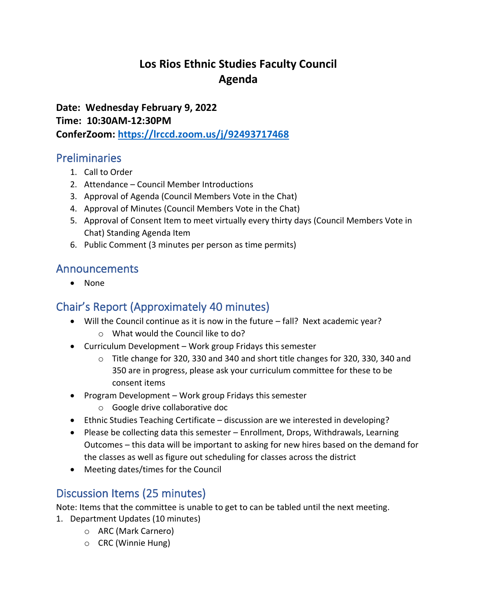# **Los Rios Ethnic Studies Faculty Council Agenda**

**Date: Wednesday February 9, 2022 Time: 10:30AM-12:30PM ConferZoom:<https://lrccd.zoom.us/j/92493717468>**

### Preliminaries

- 1. Call to Order
- 2. Attendance Council Member Introductions
- 3. Approval of Agenda (Council Members Vote in the Chat)
- 4. Approval of Minutes (Council Members Vote in the Chat)
- 5. Approval of Consent Item to meet virtually every thirty days (Council Members Vote in Chat) Standing Agenda Item
- 6. Public Comment (3 minutes per person as time permits)

### Announcements

• None

## Chair's Report (Approximately 40 minutes)

- Will the Council continue as it is now in the future fall? Next academic year?
	- o What would the Council like to do?
- Curriculum Development Work group Fridays this semester
	- o Title change for 320, 330 and 340 and short title changes for 320, 330, 340 and 350 are in progress, please ask your curriculum committee for these to be consent items
- Program Development Work group Fridays this semester
	- o Google drive collaborative doc
- Ethnic Studies Teaching Certificate discussion are we interested in developing?
- Please be collecting data this semester Enrollment, Drops, Withdrawals, Learning Outcomes – this data will be important to asking for new hires based on the demand for the classes as well as figure out scheduling for classes across the district
- Meeting dates/times for the Council

## Discussion Items (25 minutes)

Note: Items that the committee is unable to get to can be tabled until the next meeting.

- 1. Department Updates (10 minutes)
	- o ARC (Mark Carnero)
	- o CRC (Winnie Hung)